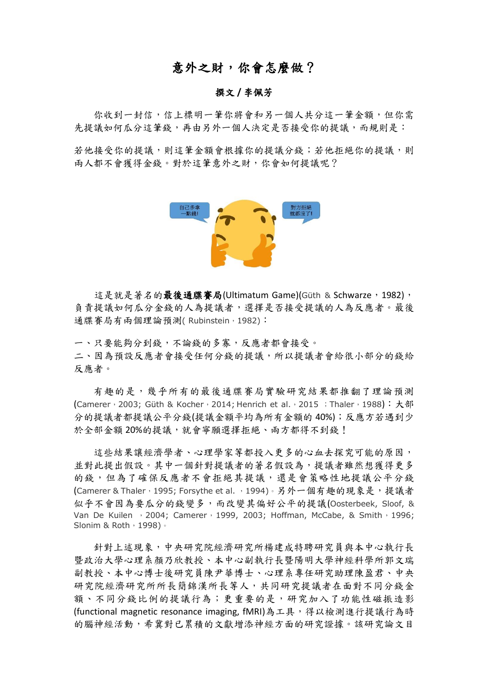## 意外之財,你會怎麼做?

## 撰文 **/** 李佩芳

你收到一封信,信上標明一筆你將會和另一個人共分這一筆金額,但你需 先提議如何瓜分這筆錢,再由另外一個人決定是否接受你的提議,而規則是:

若他接受你的提議,則這筆金額會根據你的提議分錢;若他拒絕你的提議,則 兩人都不會獲得金錢。對於這筆意外之財,你會如何提議呢?



這是就是著名的最後通牒賽局(Ultimatum Game)(Güth & Schwarze, 1982), 負責提議如何瓜分金錢的人為提議者,選擇是否接受提議的人為反應者。最後 通牒賽局有兩個理論預測(Rubinstein, 1982):

一、只要能夠分到錢,不論錢的多寡,反應者都會接受。 二、因為預設反應者會接受任何分錢的提議,所以提議者會給很小部分的錢給 反應者。

有趣的是,幾乎所有的最後通牒賽局實驗研究結果都推翻了理論預測 (Camerer, 2003; Güth & Kocher, 2014; Henrich et al., 2015; Thaler, 1988): 大部 分的提議者都提議公平分錢(提議金額平均為所有金額的 40%);反應方若遇到少 於全部金額 20%的提議,就會寧願選擇拒絕、兩方都得不到錢!

這些結果讓經濟學者、心理學家等都投入更多的心血去探究可能的原因, 並對此提出假設。其中一個針對提議者的著名假設為,提議者雖然想獲得更多 的錢,但為了確保反應者不會拒絕其提議,還是會策略性地提議公平分錢 (Camerer & Thaler, 1995; Forsythe et al., 1994)。另外一個有趣的現象是,提議者 似乎不會因為要瓜分的錢變多,而改變其偏好公平的提議(Oosterbeek, Sloof, & Van De Kuilen , 2004; Camerer, 1999, 2003; Hoffman, McCabe, & Smith, 1996; Slonim & Roth, 1998)。

針對上述現象,中央研究院經濟研究所楊建成特聘研究員與本中心執行長 暨政治大學心理系顏乃欣教授、本中心副執行長暨陽明大學神經科學所郭文瑞 副教授、本中心博士後研究員陳尹華博士、心理系專任研究助理陳盈君、中央 研究院經濟研究所所長簡錦漢所長等人,共同研究提議者在面對不同分錢金 額、不同分錢比例的提議行為;更重要的是,研究加入了功能性磁振造影 (functional magnetic resonance imaging, fMRI)為工具,得以檢測進行提議行為時 的腦神經活動,希冀對已累積的文獻增添神經方面的研究證據。該研究論文目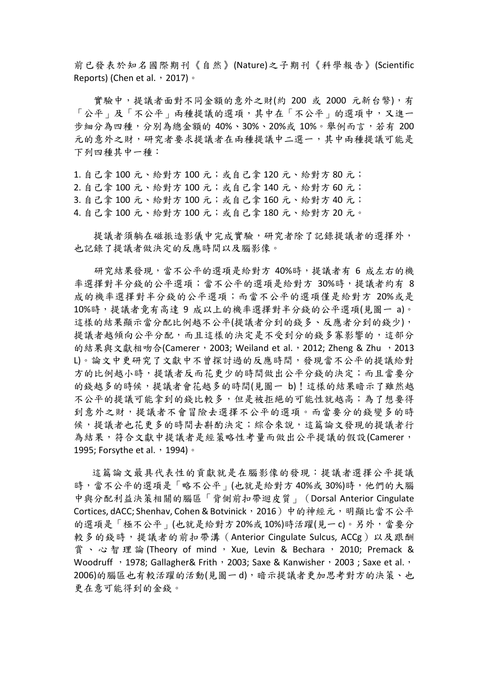前已發表於知名國際期刊《自然》(Nature)之子期刊《科學報告》(Scientific Reports) (Chen et al., 2017)。

實驗中,提議者面對不同金額的意外之財(約 200 或 2000 元新台幣),有 「公平」及「不公平」兩種提議的選項,其中在「不公平」的選項中,又進一 步細分為四種,分別為總金額的 40%、30%、20%或 10%。舉例而言,若有 200 元的意外之財,研究者要求提議者在兩種提議中二選一,其中兩種提議可能是 下列四種其中一種:

1. 自己拿 100 元、給對方 100 元;或自己拿 120 元、給對方 80 元; 2. 自己拿 100 元、給對方 100 元;或自己拿 140 元、給對方 60 元; 3. 自己拿 100 元、給對方 100 元;或自己拿 160 元、給對方 40 元; 4. 自己拿 100 元、給對方 100 元;或自己拿 180 元、給對方 20 元。

提議者須躺在磁振造影儀中完成實驗,研究者除了記錄提議者的選擇外, 也記錄了提議者做決定的反應時間以及腦影像。

研究結果發現,當不公平的選項是給對方 40%時,提議者有 6 成左右的機 率選擇對半分錢的公平選項;當不公平的選項是給對方 30%時,提議者約有 8 成的機率選擇對半分錢的公平選項;而當不公平的選項僅是給對方 20%或是 10%時,提議者竟有高達 9 成以上的機率選擇對半分錢的公平選項(見圖一 a)。 這樣的結果顯示當分配比例越不公平(提議者分到的錢多、反應者分到的錢少), 提議者越傾向公平分配,而且這樣的決定是不受到分的錢多寡影響的,這部分 的結果與文獻相吻合(Camerer, 2003; Weiland et al., 2012; Zheng & Zhu, 2013 L)。論文中更研究了文獻中不曾探討過的反應時間,發現當不公平的提議給對 方的比例越小時,提議者反而花更少的時間做出公平分錢的決定;而且當要分 的錢越多的時候,提議者會花越多的時間(見圖一 b)!這樣的結果暗示了雖然越 不公平的提議可能拿到的錢比較多,但是被拒絕的可能性就越高;為了想要得 到意外之財,提議者不會冒險去選擇不公平的選項。而當要分的錢變多的時 候,提議者也花更多的時間去斟酌決定;綜合來說,這篇論文發現的提議者行 為結果,符合文獻中提議者是經策略性考量而做出公平提議的假設(Camerer, 1995; Forsythe et al., 1994)。

 這篇論文最具代表性的貢獻就是在腦影像的發現:提議者選擇公平提議 時,當不公平的選項是「略不公平」(也就是給對方 40%或 30%)時,他們的大腦 中與分配利益決策相關的腦區「背側前扣帶迴皮質」(Dorsal Anterior Cingulate Cortices, dACC; Shenhav, Cohen & Botvinick, 2016)中的神經元,明顯比當不公平 的選項是「極不公平」(也就是給對方 20%或10%)時活躍(見一c)。另外,當要分 較多的錢時,提議者的前扣帶溝 (Anterior Cingulate Sulcus, ACCg)以及跟酬 賞、心智理論 (Theory of mind ,Xue, Levin & Bechara ,2010; Premack & Woodruff  $\cdot$  1978; Gallagher& Frith  $\cdot$  2003; Saxe & Kanwisher, 2003; Saxe et al.,  $\cdot$ 2006)的腦區也有較活躍的活動(見圖一d),暗示提議者更加思考對方的決策、也 更在意可能得到的金錢。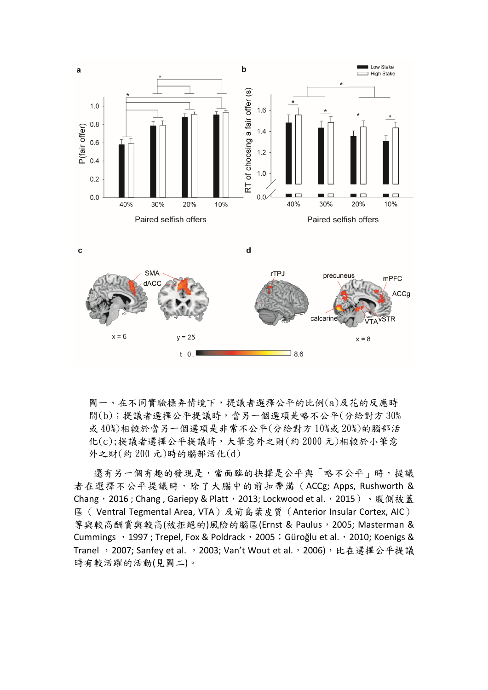

圖一、在不同實驗操弄情境下,提議者選擇公平的比例(a)及花的反應時 間(b);提議者選擇公平提議時,當另一個選項是略不公平(分給對方 30% 或 40%)相較於當另一個選項是非常不公平(分給對方 10%或 20%)的腦部活 化(c);提議者選擇公平提議時,大筆意外之財(約 2000 元)相較於小筆意 外之財(約 200 元)時的腦部活化(d)

還有另一個有趣的發現是,當面臨的抉擇是公平與「略不公平」時,提議 者在選擇不公平提議時,除了大腦中的前扣帶溝(ACCg; Apps, Rushworth & Chang, 2016; Chang, Gariepy & Platt, 2013; Lockwood et al., 2015)、腹側被蓋 區( Ventral Tegmental Area, VTA)及前島葉皮質(Anterior Insular Cortex, AIC) 等與較高酬賞與較高(被拒絕的)風險的腦區(Ernst & Paulus, 2005; Masterman & Cummings , 1997 ; Trepel, Fox & Poldrack, 2005; Güroğlu et al., 2010; Koenigs & Tranel, 2007; Sanfey et al., 2003; Van't Wout et al., 2006), 比在選擇公平提議 時有較活躍的活動(見圖二)。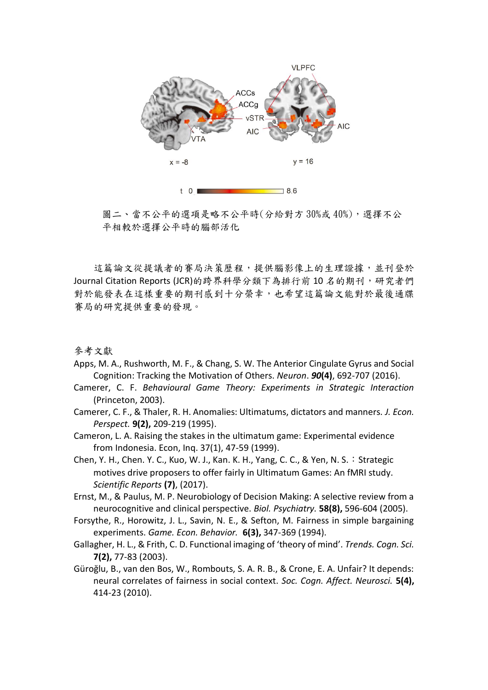

圖二、當不公平的選項是略不公平時(分給對方 30%或 40%),選擇不公 平相較於選擇公平時的腦部活化

這篇論文從提議者的賽局決策歷程,提供腦影像上的生理證據,並刊登於 Journal Citation Reports (JCR)的跨界科學分類下為排行前 10 名的期刊,研究者們 對於能發表在這樣重要的期刊感到十分榮幸,也希望這篇論文能對於最後通牒 賽局的研究提供重要的發現。

參考文獻

- Apps, M. A., Rushworth, M. F., & Chang, S. W. The Anterior Cingulate Gyrus and Social Cognition: Tracking the Motivation of Others. *Neuron*. *90***(4)**, 692-707 (2016).
- Camerer, C. F. *Behavioural Game Theory: Experiments in Strategic Interaction* (Princeton, 2003).
- Camerer, C. F., & Thaler, R. H. Anomalies: Ultimatums, dictators and manners. *J. Econ. Perspect.* **9(2),** 209-219 (1995).
- Cameron, L. A. Raising the stakes in the ultimatum game: Experimental evidence from Indonesia. Econ, Inq. 37(1), 47-59 (1999).
- Chen, Y. H., Chen. Y. C., Kuo, W. J., Kan. K. H., Yang, C. C., & Yen, N. S. : Strategic motives drive proposers to offer fairly in Ultimatum Games: An fMRI study. *Scientific Reports* **(7)**, (2017).
- Ernst, M., & Paulus, M. P. Neurobiology of Decision Making: A selective review from a neurocognitive and clinical perspective. *Biol. Psychiatry.* **58(8),** 596-604 (2005).
- Forsythe, R., Horowitz, J. L., Savin, N. E., & Sefton, M. Fairness in simple bargaining experiments. *Game. Econ. Behavior.* **6(3),** 347-369 (1994).
- Gallagher, H. L., & Frith, C. D. Functional imaging of 'theory of mind'. *Trends. Cogn. Sci.* **7(2),** 77-83 (2003).
- Güroğlu, B., van den Bos, W., Rombouts, S. A. R. B., & Crone, E. A. Unfair? It depends: neural correlates of fairness in social context. *Soc. Cogn. Affect. Neurosci.* **5(4),**  414-23 (2010).